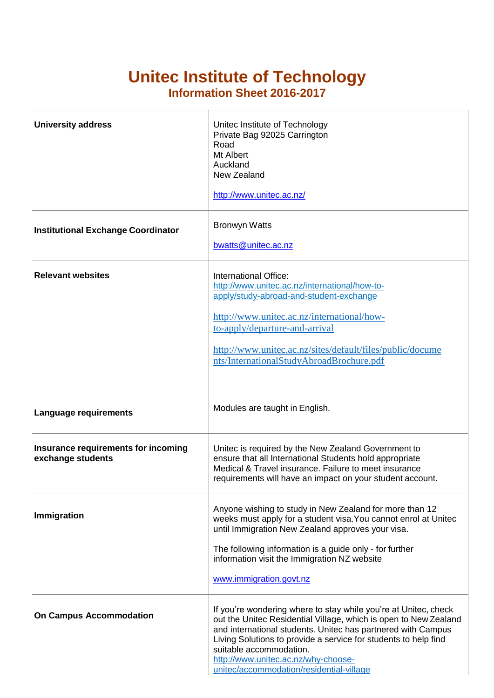## **Unitec Institute of Technology**

**Information Sheet 2016-2017**

| <b>University address</b>                                | Unitec Institute of Technology<br>Private Bag 92025 Carrington<br>Road<br>Mt Albert<br>Auckland<br>New Zealand<br>http://www.unitec.ac.nz/                                                                                                                                                                                                                                           |
|----------------------------------------------------------|--------------------------------------------------------------------------------------------------------------------------------------------------------------------------------------------------------------------------------------------------------------------------------------------------------------------------------------------------------------------------------------|
| <b>Institutional Exchange Coordinator</b>                | <b>Bronwyn Watts</b><br>bwatts@unitec.ac.nz                                                                                                                                                                                                                                                                                                                                          |
| <b>Relevant websites</b>                                 | International Office:<br>http://www.unitec.ac.nz/international/how-to-<br>apply/study-abroad-and-student-exchange<br>http://www.unitec.ac.nz/international/how-<br>to-apply/departure-and-arrival<br>http://www.unitec.ac.nz/sites/default/files/public/docume<br>nts/InternationalStudyAbroadBrochure.pdf                                                                           |
| <b>Language requirements</b>                             | Modules are taught in English.                                                                                                                                                                                                                                                                                                                                                       |
| Insurance requirements for incoming<br>exchange students | Unitec is required by the New Zealand Government to<br>ensure that all International Students hold appropriate<br>Medical & Travel insurance. Failure to meet insurance<br>requirements will have an impact on your student account.                                                                                                                                                 |
| Immigration                                              | Anyone wishing to study in New Zealand for more than 12<br>weeks must apply for a student visa. You cannot enrol at Unitec<br>until Immigration New Zealand approves your visa.<br>The following information is a guide only - for further<br>information visit the Immigration NZ website<br>www.immigration.govt.nz                                                                |
| <b>On Campus Accommodation</b>                           | If you're wondering where to stay while you're at Unitec, check<br>out the Unitec Residential Village, which is open to New Zealand<br>and international students. Unitec has partnered with Campus<br>Living Solutions to provide a service for students to help find<br>suitable accommodation.<br>http://www.unitec.ac.nz/why-choose-<br>unitec/accommodation/residential-village |